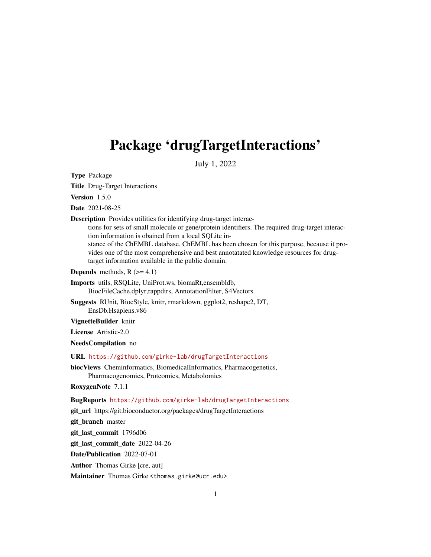## <span id="page-0-0"></span>Package 'drugTargetInteractions'

July 1, 2022

Type Package

Title Drug-Target Interactions

Version 1.5.0

Date 2021-08-25

Description Provides utilities for identifying drug-target interac-

tions for sets of small molecule or gene/protein identifiers. The required drug-target interaction information is obained from a local SQLite in-

stance of the ChEMBL database. ChEMBL has been chosen for this purpose, because it provides one of the most comprehensive and best annotatated knowledge resources for drugtarget information available in the public domain.

**Depends** methods,  $R$  ( $>= 4.1$ )

Imports utils, RSQLite, UniProt.ws, biomaRt,ensembldb, BiocFileCache,dplyr,rappdirs, AnnotationFilter, S4Vectors

Suggests RUnit, BiocStyle, knitr, rmarkdown, ggplot2, reshape2, DT, EnsDb.Hsapiens.v86

VignetteBuilder knitr

License Artistic-2.0

NeedsCompilation no

URL <https://github.com/girke-lab/drugTargetInteractions>

biocViews Cheminformatics, BiomedicalInformatics, Pharmacogenetics, Pharmacogenomics, Proteomics, Metabolomics

RoxygenNote 7.1.1

BugReports <https://github.com/girke-lab/drugTargetInteractions>

git\_url https://git.bioconductor.org/packages/drugTargetInteractions

git\_branch master

git\_last\_commit 1796d06

git\_last\_commit\_date 2022-04-26

Date/Publication 2022-07-01

Author Thomas Girke [cre, aut]

Maintainer Thomas Girke <thomas.girke@ucr.edu>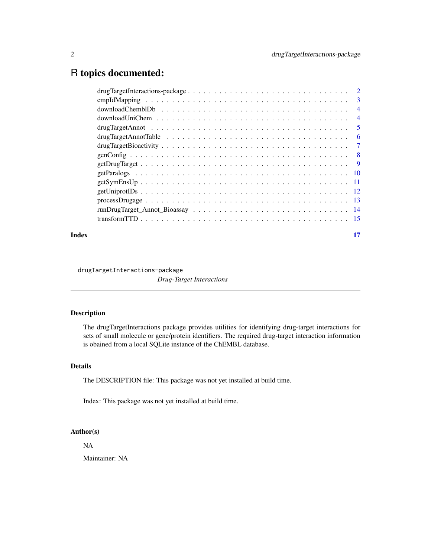## <span id="page-1-0"></span>R topics documented:

| 3              |
|----------------|
| $\overline{4}$ |
| $\overline{4}$ |
| 5              |
| -6             |
| 7              |
| - 8            |
|                |
|                |
|                |
|                |
|                |
|                |
|                |
|                |

#### **Index** [17](#page-16-0)

drugTargetInteractions-package

*Drug-Target Interactions*

## Description

The drugTargetInteractions package provides utilities for identifying drug-target interactions for sets of small molecule or gene/protein identifiers. The required drug-target interaction information is obained from a local SQLite instance of the ChEMBL database.

#### Details

The DESCRIPTION file: This package was not yet installed at build time.

Index: This package was not yet installed at build time.

#### Author(s)

NA

Maintainer: NA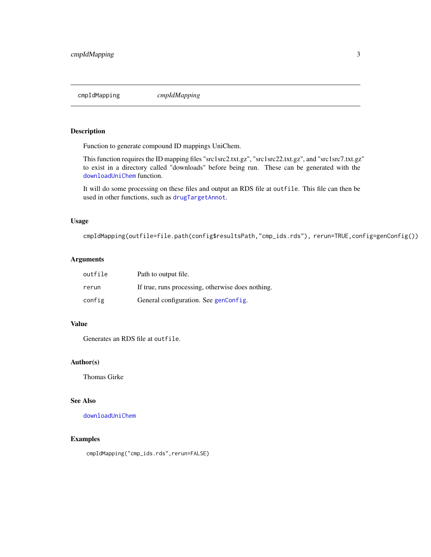<span id="page-2-1"></span><span id="page-2-0"></span>cmpIdMapping *cmpIdMapping*

#### Description

Function to generate compound ID mappings UniChem.

This function requires the ID mapping files "src1src2.txt.gz", "src1src22.txt.gz", and "src1src7.txt.gz" to exist in a directory called "downloads" before being run. These can be generated with the [downloadUniChem](#page-3-1) function.

It will do some processing on these files and output an RDS file at outfile. This file can then be used in other functions, such as [drugTargetAnnot](#page-4-1).

#### Usage

cmpIdMapping(outfile=file.path(config\$resultsPath,"cmp\_ids.rds"), rerun=TRUE,config=genConfig())

#### Arguments

| outfile | Path to output file.                              |
|---------|---------------------------------------------------|
| rerun   | If true, runs processing, otherwise does nothing. |
| config  | General configuration. See genConfig.             |

#### Value

Generates an RDS file at outfile.

#### Author(s)

Thomas Girke

#### See Also

[downloadUniChem](#page-3-1)

#### Examples

cmpIdMapping("cmp\_ids.rds",rerun=FALSE)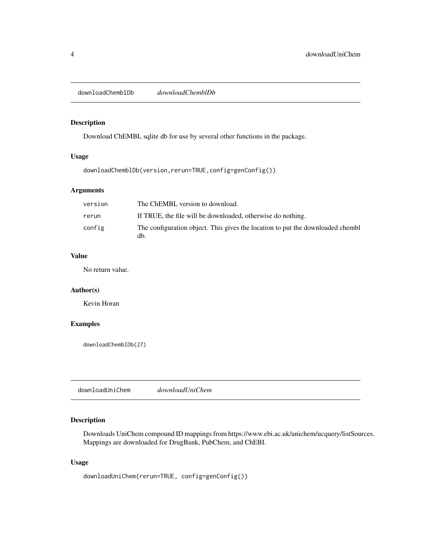<span id="page-3-0"></span>downloadChemblDb *downloadChemblDb*

#### Description

Download ChEMBL sqlite db for use by several other functions in the package.

#### Usage

```
downloadChemblDb(version,rerun=TRUE,config=genConfig())
```
#### Arguments

| version | The ChEMBL version to download.                                                       |
|---------|---------------------------------------------------------------------------------------|
| rerun   | If TRUE, the file will be downloaded, otherwise do nothing.                           |
| config  | The configuration object. This gives the location to put the downloaded chembl<br>db. |

#### Value

No return value.

#### Author(s)

Kevin Horan

### Examples

downloadChemblDb(27)

<span id="page-3-1"></span>downloadUniChem *downloadUniChem*

#### Description

Downloads UniChem compound ID mappings from https://www.ebi.ac.uk/unichem/ucquery/listSources. Mappings are downloaded for DrugBank, PubChem, and ChEBI.

#### Usage

downloadUniChem(rerun=TRUE, config=genConfig())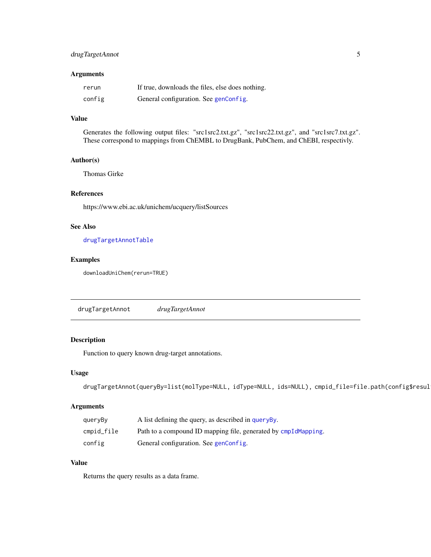#### <span id="page-4-0"></span>drugTargetAnnot 5

#### Arguments

| rerun  | If true, downloads the files, else does nothing. |
|--------|--------------------------------------------------|
| config | General configuration. See genConfig.            |

#### Value

Generates the following output files: "src1src2.txt.gz", "src1src22.txt.gz", and "src1src7.txt.gz". These correspond to mappings from ChEMBL to DrugBank, PubChem, and ChEBI, respectivly.

#### Author(s)

Thomas Girke

#### References

https://www.ebi.ac.uk/unichem/ucquery/listSources

#### See Also

[drugTargetAnnotTable](#page-5-1)

#### Examples

downloadUniChem(rerun=TRUE)

<span id="page-4-1"></span>drugTargetAnnot *drugTargetAnnot*

#### <span id="page-4-2"></span>Description

Function to query known drug-target annotations.

#### Usage

```
drugTargetAnnot(queryBy=list(molType=NULL, idType=NULL, ids=NULL), cmpid_file=file.path(config$resul
```
#### Arguments

| queryBy    | A list defining the query, as described in query By.           |
|------------|----------------------------------------------------------------|
| cmpid_file | Path to a compound ID mapping file, generated by cmpIdMapping. |
| config     | General configuration. See genConfig.                          |

## Value

Returns the query results as a data frame.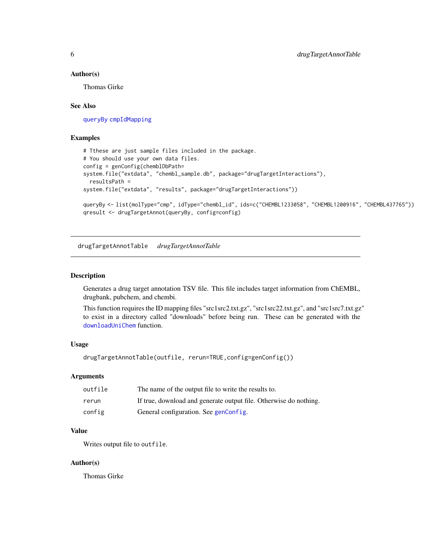#### <span id="page-5-0"></span>Author(s)

Thomas Girke

#### See Also

[queryBy](#page-4-2) [cmpIdMapping](#page-2-1)

#### Examples

```
# Tthese are just sample files included in the package.
# You should use your own data files.
config = genConfig(chemblDbPath=
system.file("extdata", "chembl_sample.db", package="drugTargetInteractions"),
 resultsPath =
system.file("extdata", "results", package="drugTargetInteractions"))
queryBy <- list(molType="cmp", idType="chembl_id", ids=c("CHEMBL1233058", "CHEMBL1200916", "CHEMBL437765"))
qresult <- drugTargetAnnot(queryBy, config=config)
```
<span id="page-5-1"></span>drugTargetAnnotTable *drugTargetAnnotTable*

#### Description

Generates a drug target annotation TSV file. This file includes target information from ChEMBL, drugbank, pubchem, and chembi.

This function requires the ID mapping files "src1src2.txt.gz", "src1src22.txt.gz", and "src1src7.txt.gz" to exist in a directory called "downloads" before being run. These can be generated with the [downloadUniChem](#page-3-1) function.

#### Usage

```
drugTargetAnnotTable(outfile, rerun=TRUE,config=genConfig())
```
#### Arguments

| outfile | The name of the output file to write the results to.              |
|---------|-------------------------------------------------------------------|
| rerun   | If true, download and generate output file. Otherwise do nothing. |
| config  | General configuration. See genConfig.                             |

#### Value

Writes output file to outfile.

#### Author(s)

Thomas Girke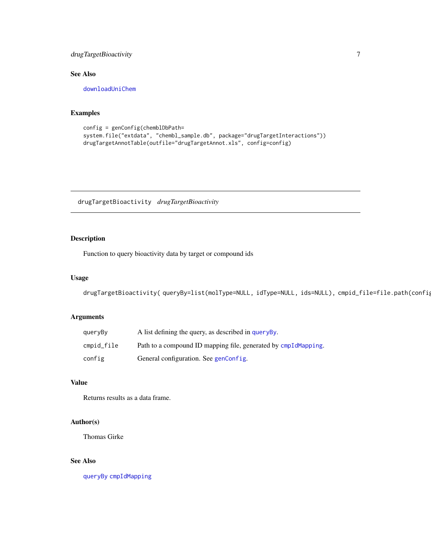## <span id="page-6-0"></span>drugTargetBioactivity 7

#### See Also

[downloadUniChem](#page-3-1)

#### Examples

```
config = genConfig(chemblDbPath=
system.file("extdata", "chembl_sample.db", package="drugTargetInteractions"))
drugTargetAnnotTable(outfile="drugTargetAnnot.xls", config=config)
```
drugTargetBioactivity *drugTargetBioactivity*

#### Description

Function to query bioactivity data by target or compound ids

#### Usage

```
drugTargetBioactivity(queryBy=list(molType=NULL, idType=NULL, ids=NULL), cmpid_file=file.path(config
```
#### Arguments

| quervBv    | A list defining the query, as described in query By.           |
|------------|----------------------------------------------------------------|
| cmpid_file | Path to a compound ID mapping file, generated by cmpIdMapping. |
| config     | General configuration. See genConfig.                          |

#### Value

Returns results as a data frame.

#### Author(s)

Thomas Girke

#### See Also

[queryBy](#page-4-2) [cmpIdMapping](#page-2-1)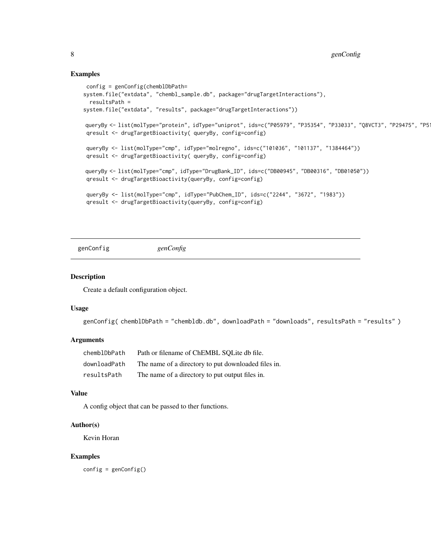#### Examples

```
config = genConfig(chemblDbPath=
system.file("extdata", "chembl_sample.db", package="drugTargetInteractions"),
 resultsPath =
system.file("extdata", "results", package="drugTargetInteractions"))
queryBy <- list(molType="protein", idType="uniprot", ids=c("P05979", "P35354", "P33033", "Q8VCT3", "P29475", "P51511"))
qresult <- drugTargetBioactivity( queryBy, config=config)
queryBy <- list(molType="cmp", idType="molregno", ids=c("101036", "101137", "1384464"))
qresult <- drugTargetBioactivity( queryBy, config=config)
queryBy <- list(molType="cmp", idType="DrugBank_ID", ids=c("DB00945", "DB00316", "DB01050"))
qresult <- drugTargetBioactivity(queryBy, config=config)
queryBy <- list(molType="cmp", idType="PubChem_ID", ids=c("2244", "3672", "1983"))
qresult <- drugTargetBioactivity(queryBy, config=config)
```
<span id="page-7-1"></span>genConfig *genConfig*

#### Description

Create a default configuration object.

#### Usage

```
genConfig( chemblDbPath = "chembldb.db", downloadPath = "downloads", resultsPath = "results" )
```
#### Arguments

| chemblDbPath | Path or filename of ChEMBL SQLite db file.          |
|--------------|-----------------------------------------------------|
| downloadPath | The name of a directory to put downloaded files in. |
| resultsPath  | The name of a directory to put output files in.     |

#### Value

A config object that can be passed to ther functions.

#### Author(s)

Kevin Horan

#### Examples

config = genConfig()

<span id="page-7-0"></span>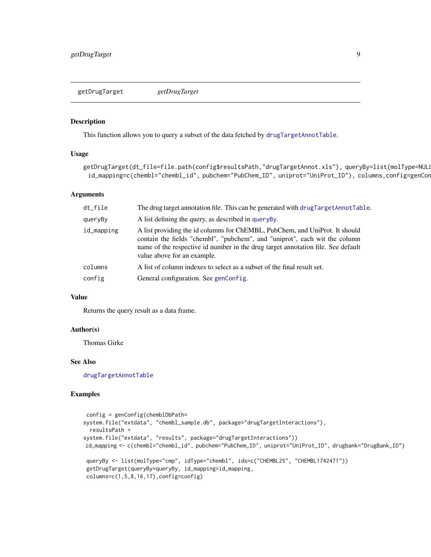<span id="page-8-0"></span>getDrugTarget *getDrugTarget*

#### Description

This function allows you to query a subset of the data fetched by [drugTargetAnnotTable](#page-5-1).

#### Usage

```
getDrugTarget(dt_file=file.path(config$resultsPath,"drugTargetAnnot.xls"), queryBy=list(molType=NULI
 id_mapping=c(chembl="chembl_id", pubchem="PubChem_ID", uniprot="UniProt_ID"), columns,config=genCor
```
#### Arguments

| dt_file    | The drug target annotation file. This can be generated with drugTargetAnnotTable.                                                                                                                                                                                            |
|------------|------------------------------------------------------------------------------------------------------------------------------------------------------------------------------------------------------------------------------------------------------------------------------|
| queryBy    | A list defining the query, as described in query By.                                                                                                                                                                                                                         |
| id_mapping | A list providing the id columns for ChEMBL, PubChem, and UniProt. It should<br>contain the fields "chembl", "pubchem", and "uniprot", each wit the column<br>name of the respective id number in the drug target annotation file. See default<br>value above for an example. |
| columns    | A list of column indexes to select as a subset of the final result set.                                                                                                                                                                                                      |
| config     | General configuration. See genConfig.                                                                                                                                                                                                                                        |

#### Value

Returns the query result as a data frame.

#### Author(s)

Thomas Girke

#### See Also

[drugTargetAnnotTable](#page-5-1)

```
config = genConfig(chemblDbPath=
system.file("extdata", "chembl_sample.db", package="drugTargetInteractions"),
 resultsPath =
system.file("extdata", "results", package="drugTargetInteractions"))
id_mapping <- c(chembl="chembl_id", pubchem="PubChem_ID", uniprot="UniProt_ID", drugbank="DrugBank_ID")
queryBy <- list(molType="cmp", idType="chembl", ids=c("CHEMBL25", "CHEMBL1742471"))
getDrugTarget(queryBy=queryBy, id_mapping=id_mapping,
columns=c(1,5,8,16,17),config=config)
```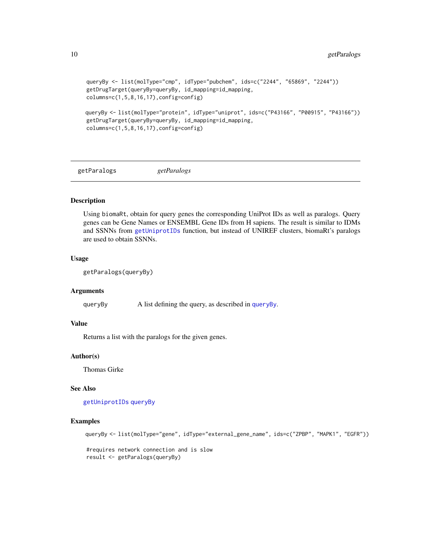```
queryBy <- list(molType="cmp", idType="pubchem", ids=c("2244", "65869", "2244"))
getDrugTarget(queryBy=queryBy, id_mapping=id_mapping,
columns=c(1,5,8,16,17), config=config)queryBy <- list(molType="protein", idType="uniprot", ids=c("P43166", "P00915", "P43166"))
getDrugTarget(queryBy=queryBy, id_mapping=id_mapping,
```

```
columns=c(1,5,8,16,17),config=config)
```
<span id="page-9-1"></span>getParalogs *getParalogs*

#### Description

Using biomaRt, obtain for query genes the corresponding UniProt IDs as well as paralogs. Query genes can be Gene Names or ENSEMBL Gene IDs from H sapiens. The result is similar to IDMs and SSNNs from [getUniprotIDs](#page-11-1) function, but instead of UNIREF clusters, biomaRt's paralogs are used to obtain SSNNs.

#### Usage

```
getParalogs(queryBy)
```
#### **Arguments**

queryBy A list defining the query, as described in [queryBy](#page-4-2).

#### Value

Returns a list with the paralogs for the given genes.

#### Author(s)

Thomas Girke

#### See Also

[getUniprotIDs](#page-11-1) [queryBy](#page-4-2)

#### Examples

```
queryBy <- list(molType="gene", idType="external_gene_name", ids=c("ZPBP", "MAPK1", "EGFR"))
```
#requires network connection and is slow result <- getParalogs(queryBy)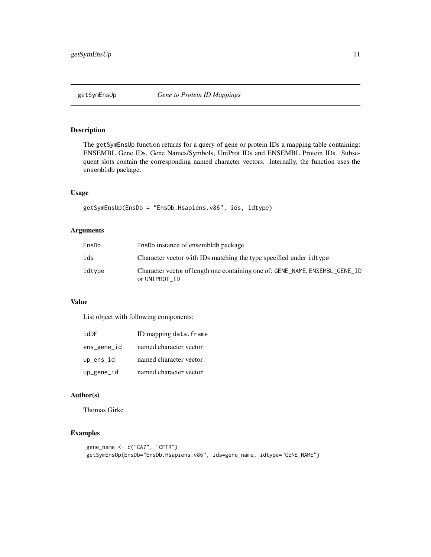<span id="page-10-0"></span>

#### Description

The getSymEnsUp function returns for a query of gene or protein IDs a mapping table containing: ENSEMBL Gene IDs, Gene Names/Symbols, UniProt IDs and ENSEMBL Protein IDs. Subsequent slots contain the corresponding named character vectors. Internally, the function uses the ensembldb package.

#### Usage

getSymEnsUp(EnsDb = "EnsDb.Hsapiens.v86", ids, idtype)

#### Arguments

| EnsDb  | Enspo instance of ensemble package                                                            |
|--------|-----------------------------------------------------------------------------------------------|
| ids    | Character vector with IDs matching the type specified under idtype                            |
| idtype | Character vector of length one containing one of: GENE_NAME, ENSEMBL_GENE_ID<br>or UNIPROT ID |

## Value

List object with following components:

| idDF          | ID mapping data.frame  |
|---------------|------------------------|
| ens_gene_id   | named character vector |
| $up_{ens_id}$ | named character vector |
| up_gene_id    | named character vector |

#### Author(s)

Thomas Girke

```
gene_name <- c("CA7", "CFTR")
getSymEnsUp(EnsDb="EnsDb.Hsapiens.v86", ids=gene_name, idtype="GENE_NAME")
```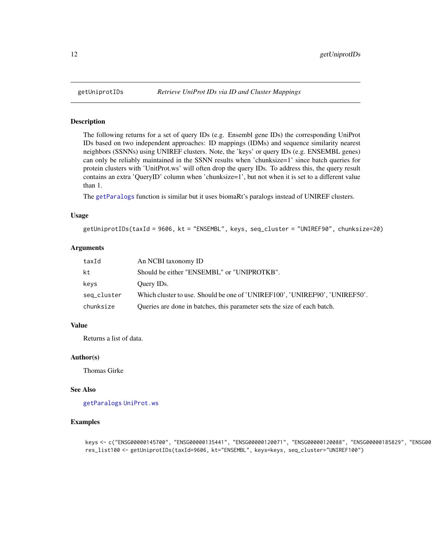#### Description

The following returns for a set of query IDs (e.g. Ensembl gene IDs) the corresponding UniProt IDs based on two independent approaches: ID mappings (IDMs) and sequence similarity nearest neighbors (SSNNs) using UNIREF clusters. Note, the 'keys' or query IDs (e.g. ENSEMBL genes) can only be reliably maintained in the SSNN results when 'chunksize=1' since batch queries for protein clusters with 'UnitProt.ws' will often drop the query IDs. To address this, the query result contains an extra 'QueryID' column when 'chunksize=1', but not when it is set to a different value than 1.

The [getParalogs](#page-9-1) function is similar but it uses biomaRt's paralogs instead of UNIREF clusters.

#### Usage

getUniprotIDs(taxId = 9606, kt = "ENSEMBL", keys, seq\_cluster = "UNIREF90", chunksize=20)

#### Arguments

| taxId       | An NCBI taxonomy ID                                                         |
|-------------|-----------------------------------------------------------------------------|
| kt          | Should be either "ENSEMBL" or "UNIPROTKB".                                  |
| keys        | Query IDs.                                                                  |
| seq_cluster | Which cluster to use. Should be one of 'UNIREF100', 'UNIREF90', 'UNIREF50'. |
| chunksize   | Queries are done in batches, this parameter sets the size of each batch.    |

#### Value

Returns a list of data.

#### Author(s)

Thomas Girke

#### See Also

[getParalogs](#page-9-1) [UniProt.ws](#page-0-0)

```
keys <- c("ENSG00000145700", "ENSG00000135441", "ENSG00000120071", "ENSG00000120088", "ENSG00000185829", "ENSG00
res_list100 <- getUniprotIDs(taxId=9606, kt="ENSEMBL", keys=keys, seq_cluster="UNIREF100")
```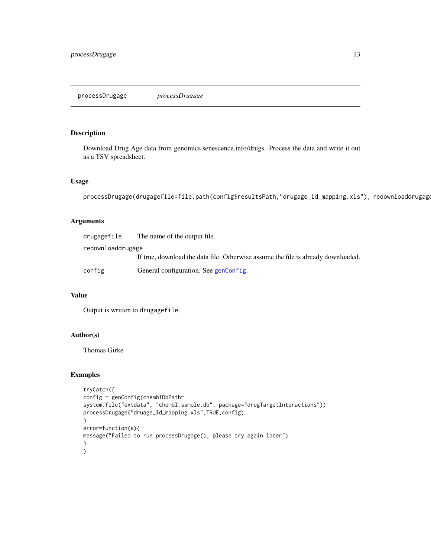#### <span id="page-12-0"></span>Description

Download Drug Age data from genomics.senescence.info/drugs. Process the data and write it out as a TSV spreadsheet.

#### Usage

```
processDrugage(drugagefile=file.path(config$resultsPath,"drugage_id_mapping.xls"), redownloaddrugage
```
#### Arguments

| drugagefile       | The name of the output file.                                                      |
|-------------------|-----------------------------------------------------------------------------------|
| redownloaddrugage |                                                                                   |
|                   | If true, download the data file. Otherwise assume the file is already downloaded. |
| config            | General configuration. See genConfig.                                             |

#### Value

Output is written to drugagefile.

#### Author(s)

Thomas Girke

```
tryCatch({
config = genConfig(chemblDbPath=
system.file("extdata", "chembl_sample.db", package="drugTargetInteractions"))
processDrugage("druage_id_mapping.xls",TRUE,config)
},
error=function(e){
message("Failed to run processDrugage(), please try again later")
}
\mathcal{L}
```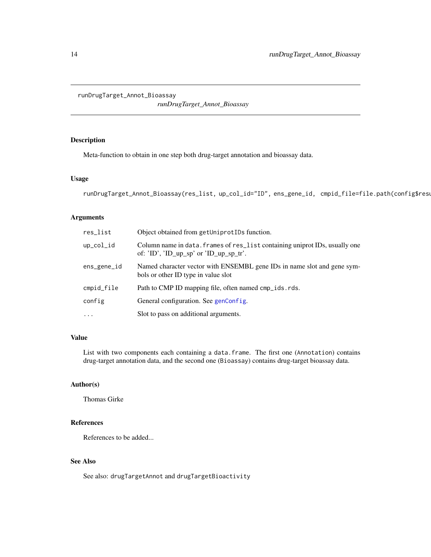<span id="page-13-0"></span>runDrugTarget\_Annot\_Bioassay

*runDrugTarget\_Annot\_Bioassay*

## Description

Meta-function to obtain in one step both drug-target annotation and bioassay data.

#### Usage

```
runDrugTarget_Annot_Bioassay(res_list, up_col_id="ID", ens_gene_id, cmpid_file=file.path(config$rest
```
#### Arguments

| res_list      | Object obtained from getUniprotIDs function.                                                                                  |
|---------------|-------------------------------------------------------------------------------------------------------------------------------|
| $up\_col\_id$ | Column name in data. frames of res_list containing uniprot IDs, usually one<br>of: $'ID'$ , $'ID_up_sp'$ or $'ID_up_sp_tr'$ . |
| ens_gene_id   | Named character vector with ENSEMBL gene IDs in name slot and gene sym-<br>bols or other ID type in value slot                |
| cmpid_file    | Path to CMP ID mapping file, often named cmp_ids.rds.                                                                         |
| config        | General configuration. See genConfig.                                                                                         |
| $\ddots$      | Slot to pass on additional arguments.                                                                                         |

#### Value

List with two components each containing a data.frame. The first one (Annotation) contains drug-target annotation data, and the second one (Bioassay) contains drug-target bioassay data.

#### Author(s)

Thomas Girke

#### References

References to be added...

## See Also

See also: drugTargetAnnot and drugTargetBioactivity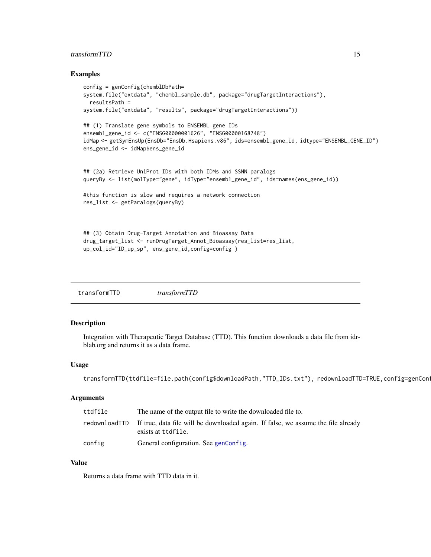#### <span id="page-14-0"></span>transform TTD 15

#### Examples

```
config = genConfig(chemb1DbPath=system.file("extdata", "chembl_sample.db", package="drugTargetInteractions"),
 resultsPath =
system.file("extdata", "results", package="drugTargetInteractions"))
## (1) Translate gene symbols to ENSEMBL gene IDs
ensembl_gene_id <- c("ENSG00000001626", "ENSG00000168748")
idMap <- getSymEnsUp(EnsDb="EnsDb.Hsapiens.v86", ids=ensembl_gene_id, idtype="ENSEMBL_GENE_ID")
ens_gene_id <- idMap$ens_gene_id
## (2a) Retrieve UniProt IDs with both IDMs and SSNN paralogs
queryBy <- list(molType="gene", idType="ensembl_gene_id", ids=names(ens_gene_id))
#this function is slow and requires a network connection
res_list <- getParalogs(queryBy)
## (3) Obtain Drug-Target Annotation and Bioassay Data
drug_target_list <- runDrugTarget_Annot_Bioassay(res_list=res_list,
up_col_id="ID_up_sp", ens_gene_id,config=config )
```
transformTTD *transformTTD*

#### Description

Integration with Therapeutic Target Database (TTD). This function downloads a data file from idrblab.org and returns it as a data frame.

#### Usage

```
transformTTD(ttdfile=file.path(config$downloadPath,"TTD_IDs.txt"), redownloadTTD=TRUE,config=genCon
```
#### Arguments

| ttdfile       | The name of the output file to write the downloaded file to.                                            |
|---------------|---------------------------------------------------------------------------------------------------------|
| redownloadTTD | If true, data file will be downloaded again. If false, we assume the file already<br>exists at ttdfile. |
| config        | General configuration. See genConfig.                                                                   |

#### Value

Returns a data frame with TTD data in it.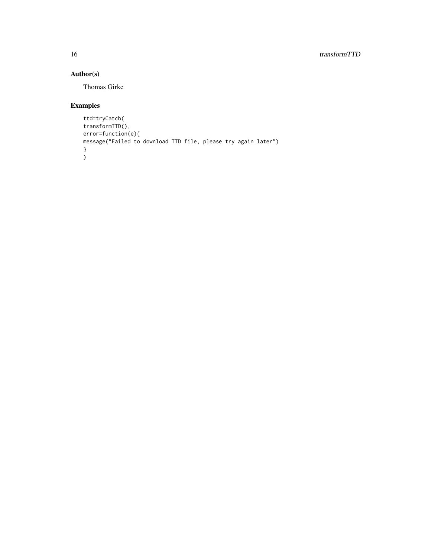## Author(s)

Thomas Girke

```
ttd=tryCatch(
transformTTD(),
error=function(e){
message("Failed to download TTD file, please try again later")
}
)
```